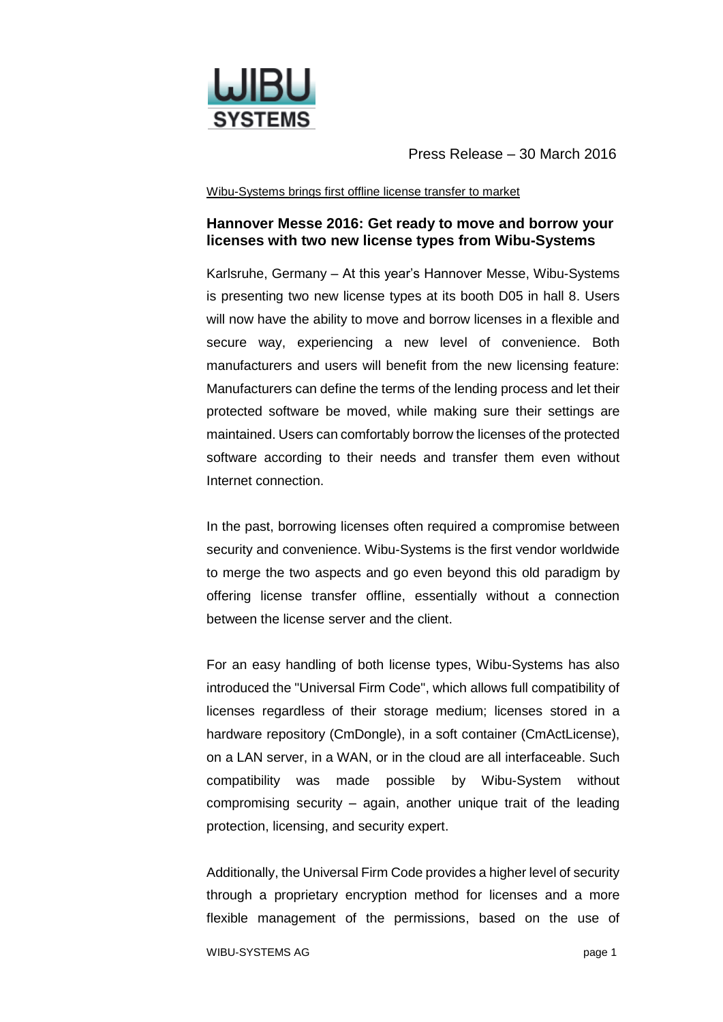

Press Release – 30 March 2016

## Wibu-Systems brings first offline license transfer to market

## **Hannover Messe 2016: Get ready to move and borrow your licenses with two new license types from Wibu-Systems**

Karlsruhe, Germany – At this year's Hannover Messe, Wibu-Systems is presenting two new license types at its booth D05 in hall 8. Users will now have the ability to move and borrow licenses in a flexible and secure way, experiencing a new level of convenience. Both manufacturers and users will benefit from the new licensing feature: Manufacturers can define the terms of the lending process and let their protected software be moved, while making sure their settings are maintained. Users can comfortably borrow the licenses of the protected software according to their needs and transfer them even without Internet connection.

In the past, borrowing licenses often required a compromise between security and convenience. Wibu-Systems is the first vendor worldwide to merge the two aspects and go even beyond this old paradigm by offering license transfer offline, essentially without a connection between the license server and the client.

For an easy handling of both license types, Wibu-Systems has also introduced the "Universal Firm Code", which allows full compatibility of licenses regardless of their storage medium; licenses stored in a hardware repository (CmDongle), in a soft container (CmActLicense), on a LAN server, in a WAN, or in the cloud are all interfaceable. Such compatibility was made possible by Wibu-System without compromising security – again, another unique trait of the leading protection, licensing, and security expert.

Additionally, the Universal Firm Code provides a higher level of security through a proprietary encryption method for licenses and a more flexible management of the permissions, based on the use of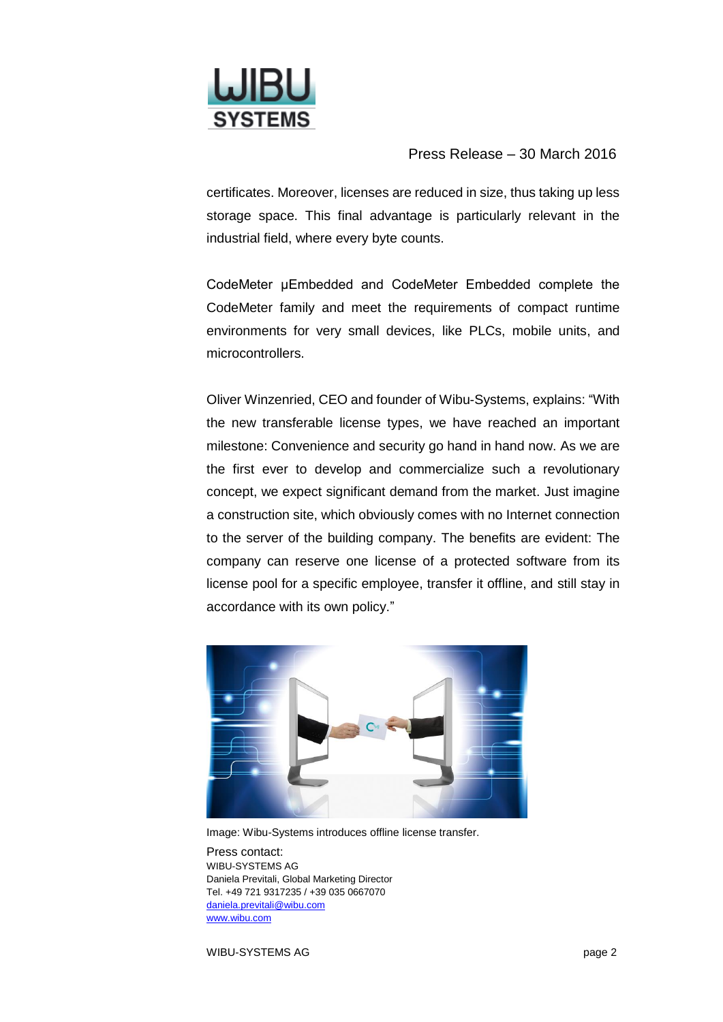

Press Release – 30 March 2016

certificates. Moreover, licenses are reduced in size, thus taking up less storage space. This final advantage is particularly relevant in the industrial field, where every byte counts.

CodeMeter μEmbedded and CodeMeter Embedded complete the CodeMeter family and meet the requirements of compact runtime environments for very small devices, like PLCs, mobile units, and microcontrollers.

Oliver Winzenried, CEO and founder of Wibu-Systems, explains: "With the new transferable license types, we have reached an important milestone: Convenience and security go hand in hand now. As we are the first ever to develop and commercialize such a revolutionary concept, we expect significant demand from the market. Just imagine a construction site, which obviously comes with no Internet connection to the server of the building company. The benefits are evident: The company can reserve one license of a protected software from its license pool for a specific employee, transfer it offline, and still stay in accordance with its own policy."



Image: Wibu-Systems introduces offline license transfer.

Press contact: WIBU-SYSTEMS AG Daniela Previtali, Global Marketing Director Tel. +49 721 9317235 / +39 035 0667070 [daniela.previtali@wibu.com](mailto:daniela.previtali@wibu.com) [www.wibu.com](http://www.wibu.com/)

WIBU-SYSTEMS AG **page 2**